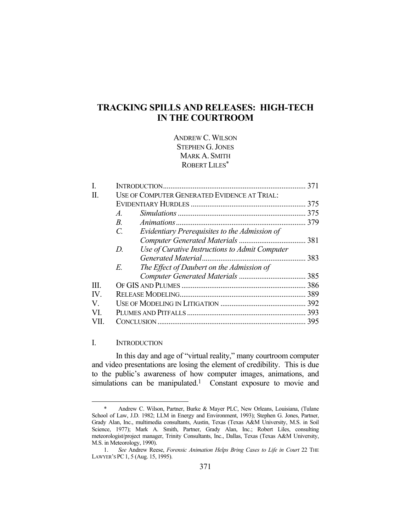# **TRACKING SPILLS AND RELEASES: HIGH-TECH IN THE COURTROOM**

ANDREW C. WILSON STEPHEN G. JONES MARK A. SMITH ROBERT LILES\*

| Ι.                    |                                                      | 371 |
|-----------------------|------------------------------------------------------|-----|
| H.                    | USE OF COMPUTER GENERATED EVIDENCE AT TRIAL:         |     |
|                       |                                                      |     |
|                       | $\mathcal{A}_{\cdot}$                                |     |
|                       | $B_{\cdot}$                                          | 379 |
|                       | C.<br>Evidentiary Prerequisites to the Admission of  |     |
|                       |                                                      |     |
|                       | Use of Curative Instructions to Admit Computer<br>D. |     |
|                       |                                                      |     |
|                       | E.<br>The Effect of Daubert on the Admission of      |     |
|                       |                                                      |     |
| III.                  |                                                      |     |
| $\mathbf{IV}_{\cdot}$ |                                                      | 389 |
| V.                    |                                                      |     |
| VL                    |                                                      |     |
|                       |                                                      | 395 |

# I. INTRODUCTION

<u>.</u>

 In this day and age of "virtual reality," many courtroom computer and video presentations are losing the element of credibility. This is due to the public's awareness of how computer images, animations, and simulations can be manipulated.<sup>1</sup> Constant exposure to movie and

 <sup>\*</sup> Andrew C. Wilson, Partner, Burke & Mayer PLC, New Orleans, Louisiana, (Tulane School of Law, J.D. 1982; LLM in Energy and Environment, 1993); Stephen G. Jones, Partner, Grady Alan, Inc., multimedia consultants, Austin, Texas (Texas A&M University, M.S. in Soil Science, 1977); Mark A. Smith, Partner, Grady Alan, Inc.; Robert Liles, consulting meteorologist/project manager, Trinity Consultants, Inc., Dallas, Texas (Texas A&M University, M.S. in Meteorology, 1990).

 <sup>1.</sup> *See* Andrew Reese, *Forensic Animation Helps Bring Cases to Life in Court* 22 THE LAWYER'S PC1, 5 (Aug. 15, 1995).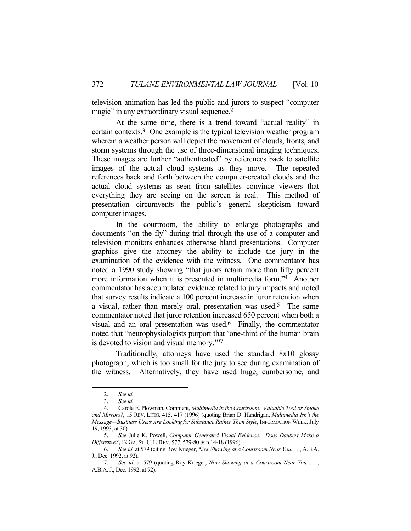television animation has led the public and jurors to suspect "computer magic" in any extraordinary visual sequence.<sup>2</sup>

 At the same time, there is a trend toward "actual reality" in certain contexts.3 One example is the typical television weather program wherein a weather person will depict the movement of clouds, fronts, and storm systems through the use of three-dimensional imaging techniques. These images are further "authenticated" by references back to satellite images of the actual cloud systems as they move. The repeated references back and forth between the computer-created clouds and the actual cloud systems as seen from satellites convince viewers that everything they are seeing on the screen is real. This method of presentation circumvents the public's general skepticism toward computer images.

 In the courtroom, the ability to enlarge photographs and documents "on the fly" during trial through the use of a computer and television monitors enhances otherwise bland presentations. Computer graphics give the attorney the ability to include the jury in the examination of the evidence with the witness. One commentator has noted a 1990 study showing "that jurors retain more than fifty percent more information when it is presented in multimedia form."4 Another commentator has accumulated evidence related to jury impacts and noted that survey results indicate a 100 percent increase in juror retention when a visual, rather than merely oral, presentation was used.5 The same commentator noted that juror retention increased 650 percent when both a visual and an oral presentation was used.6 Finally, the commentator noted that "neurophysiologists purport that 'one-third of the human brain is devoted to vision and visual memory.'"7

 Traditionally, attorneys have used the standard 8x10 glossy photograph, which is too small for the jury to see during examination of the witness. Alternatively, they have used huge, cumbersome, and

 <sup>2.</sup> *See id.*

 <sup>3.</sup> *See id.* 

 <sup>4.</sup> Carole E. Plowman, Comment, *Multimedia in the Courtroom: Valuable Tool or Smoke and Mirrors?*, 15 REV. LITIG. 415, 417 (1996) (quoting Brian D. Handrigan, *Multimedia Isn't the Message—Business Users Are Looking for Substance Rather Than Style*, INFORMATION WEEK, July 19, 1993, at 30).

 <sup>5.</sup> *See* Julie K. Powell, *Computer Generated Visual Evidence: Does Daubert Make a Difference?*, 12 GA. ST.U.L.REV. 577, 579-80 & n.14-18 (1996).

 <sup>6.</sup> *See id.* at 579 (citing Roy Krieger, *Now Showing at a Courtroom Near You. . .* , A.B.A. J., Dec. 1992, at 92).

 <sup>7.</sup> *See id.* at 579 (quoting Roy Krieger, *Now Showing at a Courtroom Near You. . .* , A.B.A. J., Dec. 1992, at 92).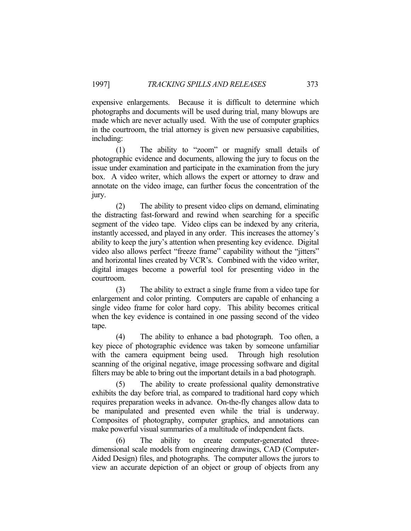expensive enlargements. Because it is difficult to determine which photographs and documents will be used during trial, many blowups are made which are never actually used. With the use of computer graphics in the courtroom, the trial attorney is given new persuasive capabilities, including:

 (1) The ability to "zoom" or magnify small details of photographic evidence and documents, allowing the jury to focus on the issue under examination and participate in the examination from the jury box. A video writer, which allows the expert or attorney to draw and annotate on the video image, can further focus the concentration of the jury.

 (2) The ability to present video clips on demand, eliminating the distracting fast-forward and rewind when searching for a specific segment of the video tape. Video clips can be indexed by any criteria, instantly accessed, and played in any order. This increases the attorney's ability to keep the jury's attention when presenting key evidence. Digital video also allows perfect "freeze frame" capability without the "jitters" and horizontal lines created by VCR's. Combined with the video writer, digital images become a powerful tool for presenting video in the courtroom.

 (3) The ability to extract a single frame from a video tape for enlargement and color printing. Computers are capable of enhancing a single video frame for color hard copy. This ability becomes critical when the key evidence is contained in one passing second of the video tape.

 (4) The ability to enhance a bad photograph. Too often, a key piece of photographic evidence was taken by someone unfamiliar with the camera equipment being used. Through high resolution scanning of the original negative, image processing software and digital filters may be able to bring out the important details in a bad photograph.

 (5) The ability to create professional quality demonstrative exhibits the day before trial, as compared to traditional hard copy which requires preparation weeks in advance. On-the-fly changes allow data to be manipulated and presented even while the trial is underway. Composites of photography, computer graphics, and annotations can make powerful visual summaries of a multitude of independent facts.

 (6) The ability to create computer-generated threedimensional scale models from engineering drawings, CAD (Computer-Aided Design) files, and photographs. The computer allows the jurors to view an accurate depiction of an object or group of objects from any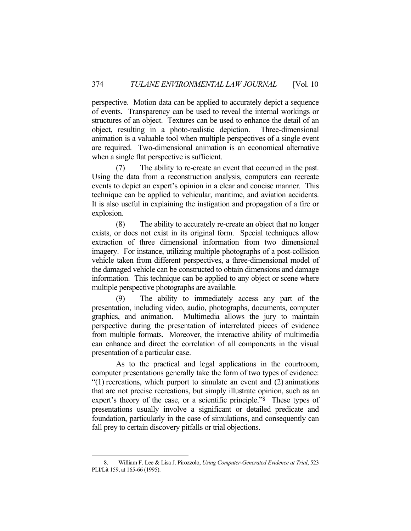perspective. Motion data can be applied to accurately depict a sequence of events. Transparency can be used to reveal the internal workings or structures of an object. Textures can be used to enhance the detail of an object, resulting in a photo-realistic depiction. Three-dimensional animation is a valuable tool when multiple perspectives of a single event are required. Two-dimensional animation is an economical alternative when a single flat perspective is sufficient.

 (7) The ability to re-create an event that occurred in the past. Using the data from a reconstruction analysis, computers can recreate events to depict an expert's opinion in a clear and concise manner. This technique can be applied to vehicular, maritime, and aviation accidents. It is also useful in explaining the instigation and propagation of a fire or explosion.

 (8) The ability to accurately re-create an object that no longer exists, or does not exist in its original form. Special techniques allow extraction of three dimensional information from two dimensional imagery. For instance, utilizing multiple photographs of a post-collision vehicle taken from different perspectives, a three-dimensional model of the damaged vehicle can be constructed to obtain dimensions and damage information. This technique can be applied to any object or scene where multiple perspective photographs are available.

 (9) The ability to immediately access any part of the presentation, including video, audio, photographs, documents, computer graphics, and animation. Multimedia allows the jury to maintain perspective during the presentation of interrelated pieces of evidence from multiple formats. Moreover, the interactive ability of multimedia can enhance and direct the correlation of all components in the visual presentation of a particular case.

 As to the practical and legal applications in the courtroom, computer presentations generally take the form of two types of evidence: "(1) recreations, which purport to simulate an event and (2) animations that are not precise recreations, but simply illustrate opinion, such as an expert's theory of the case, or a scientific principle."8 These types of presentations usually involve a significant or detailed predicate and foundation, particularly in the case of simulations, and consequently can fall prey to certain discovery pitfalls or trial objections.

 <sup>8.</sup> William F. Lee & Lisa J. Pirozzolo, *Using Computer-Generated Evidence at Trial*, 523 PLI/Lit 159, at 165-66 (1995).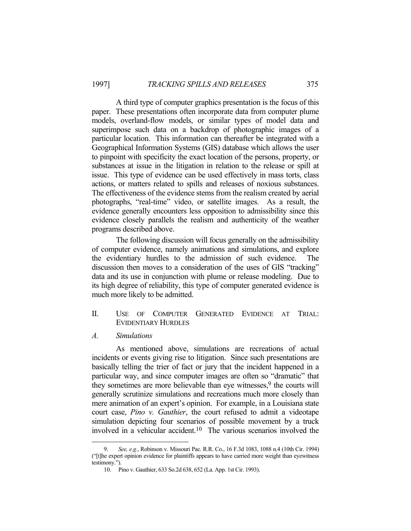A third type of computer graphics presentation is the focus of this paper. These presentations often incorporate data from computer plume models, overland-flow models, or similar types of model data and superimpose such data on a backdrop of photographic images of a particular location. This information can thereafter be integrated with a Geographical Information Systems (GIS) database which allows the user to pinpoint with specificity the exact location of the persons, property, or substances at issue in the litigation in relation to the release or spill at issue. This type of evidence can be used effectively in mass torts, class actions, or matters related to spills and releases of noxious substances. The effectiveness of the evidence stems from the realism created by aerial photographs, "real-time" video, or satellite images. As a result, the evidence generally encounters less opposition to admissibility since this evidence closely parallels the realism and authenticity of the weather programs described above.

 The following discussion will focus generally on the admissibility of computer evidence, namely animations and simulations, and explore the evidentiary hurdles to the admission of such evidence. The discussion then moves to a consideration of the uses of GIS "tracking" data and its use in conjunction with plume or release modeling. Due to its high degree of reliability, this type of computer generated evidence is much more likely to be admitted.

- II. USE OF COMPUTER GENERATED EVIDENCE AT TRIAL: EVIDENTIARY HURDLES
- *A. Simulations*

1

 As mentioned above, simulations are recreations of actual incidents or events giving rise to litigation. Since such presentations are basically telling the trier of fact or jury that the incident happened in a particular way, and since computer images are often so "dramatic" that they sometimes are more believable than eye witnesses, $9$  the courts will generally scrutinize simulations and recreations much more closely than mere animation of an expert's opinion. For example, in a Louisiana state court case, *Pino v. Gauthier*, the court refused to admit a videotape simulation depicting four scenarios of possible movement by a truck involved in a vehicular accident.10 The various scenarios involved the

 <sup>9.</sup> *See, e.g.*, Robinson v. Missouri Pac. R.R. Co., 16 F.3d 1083, 1088 n.4 (10th Cir. 1994) ("[t]he expert opinion evidence for plaintiffs appears to have carried more weight than eyewitness testimony.").

 <sup>10.</sup> Pino v. Gauthier, 633 So.2d 638, 652 (La. App. 1st Cir. 1993).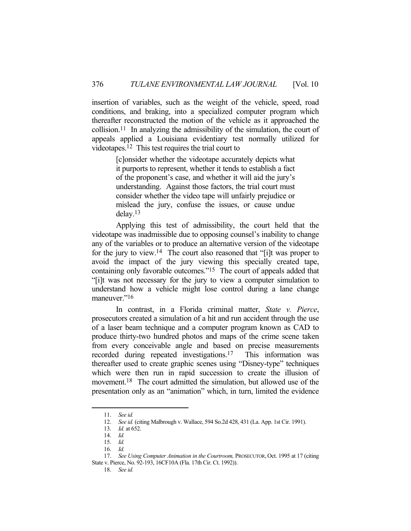insertion of variables, such as the weight of the vehicle, speed, road conditions, and braking, into a specialized computer program which thereafter reconstructed the motion of the vehicle as it approached the collision.11 In analyzing the admissibility of the simulation, the court of appeals applied a Louisiana evidentiary test normally utilized for videotapes.12 This test requires the trial court to

> [c]onsider whether the videotape accurately depicts what it purports to represent, whether it tends to establish a fact of the proponent's case, and whether it will aid the jury's understanding. Against those factors, the trial court must consider whether the video tape will unfairly prejudice or mislead the jury, confuse the issues, or cause undue delay.13

 Applying this test of admissibility, the court held that the videotape was inadmissible due to opposing counsel's inability to change any of the variables or to produce an alternative version of the videotape for the jury to view.14 The court also reasoned that "[i]t was proper to avoid the impact of the jury viewing this specially created tape, containing only favorable outcomes."15 The court of appeals added that "[i]t was not necessary for the jury to view a computer simulation to understand how a vehicle might lose control during a lane change maneuver."16

 In contrast, in a Florida criminal matter, *State v. Pierce*, prosecutors created a simulation of a hit and run accident through the use of a laser beam technique and a computer program known as CAD to produce thirty-two hundred photos and maps of the crime scene taken from every conceivable angle and based on precise measurements recorded during repeated investigations.17 This information was thereafter used to create graphic scenes using "Disney-type" techniques which were then run in rapid succession to create the illusion of movement.<sup>18</sup> The court admitted the simulation, but allowed use of the presentation only as an "animation" which, in turn, limited the evidence

 <sup>11.</sup> *See id.*

 <sup>12.</sup> *See id.* (citing Malbrough v. Wallace, 594 So.2d 428, 431 (La. App. 1st Cir. 1991).

 <sup>13.</sup> *Id.* at 652.

 <sup>14.</sup> *Id.* 

 <sup>15.</sup> *Id.*

 <sup>16.</sup> *Id.*

<sup>17.</sup> *See Using Computer Animation in the Courtroom*, PROSECUTOR, Oct. 1995 at 17 (citing State v. Pierce, No. 92-193, 16CF10A (Fla. 17th Cir. Ct. 1992)).

 <sup>18.</sup> *See id.*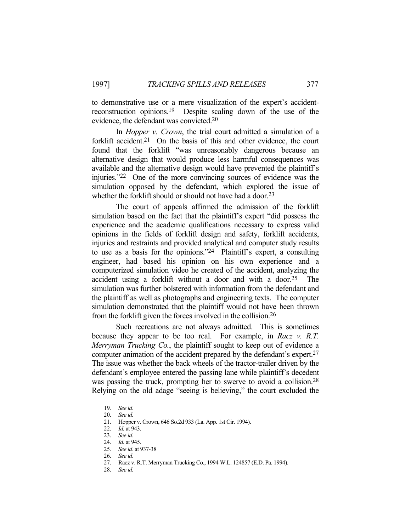to demonstrative use or a mere visualization of the expert's accidentreconstruction opinions.19 Despite scaling down of the use of the evidence, the defendant was convicted.20

 In *Hopper v. Crown*, the trial court admitted a simulation of a forklift accident.<sup>21</sup> On the basis of this and other evidence, the court found that the forklift "was unreasonably dangerous because an alternative design that would produce less harmful consequences was available and the alternative design would have prevented the plaintiff's injuries."22 One of the more convincing sources of evidence was the simulation opposed by the defendant, which explored the issue of whether the forklift should or should not have had a door.<sup>23</sup>

 The court of appeals affirmed the admission of the forklift simulation based on the fact that the plaintiff's expert "did possess the experience and the academic qualifications necessary to express valid opinions in the fields of forklift design and safety, forklift accidents, injuries and restraints and provided analytical and computer study results to use as a basis for the opinions."24 Plaintiff's expert, a consulting engineer, had based his opinion on his own experience and a computerized simulation video he created of the accident, analyzing the accident using a forklift without a door and with a door.25 The simulation was further bolstered with information from the defendant and the plaintiff as well as photographs and engineering texts. The computer simulation demonstrated that the plaintiff would not have been thrown from the forklift given the forces involved in the collision.26

 Such recreations are not always admitted. This is sometimes because they appear to be too real. For example, in *Racz v. R.T. Merryman Trucking Co.*, the plaintiff sought to keep out of evidence a computer animation of the accident prepared by the defendant's expert.27 The issue was whether the back wheels of the tractor-trailer driven by the defendant's employee entered the passing lane while plaintiff's decedent was passing the truck, prompting her to swerve to avoid a collision.<sup>28</sup> Relying on the old adage "seeing is believing," the court excluded the

 <sup>19.</sup> *See id.*

 <sup>20.</sup> *See id.* 

 <sup>21.</sup> Hopper v. Crown, 646 So.2d 933 (La. App. 1st Cir. 1994).

 <sup>22.</sup> *Id.* at 943.

 <sup>23.</sup> *See id.* 

 <sup>24.</sup> *Id.* at 945.

 <sup>25.</sup> *See id.* at 937-38

 <sup>26.</sup> *See id*.

 <sup>27.</sup> Racz v. R.T. Merryman Trucking Co., 1994 W.L. 124857 (E.D. Pa. 1994).

 <sup>28.</sup> *See id.*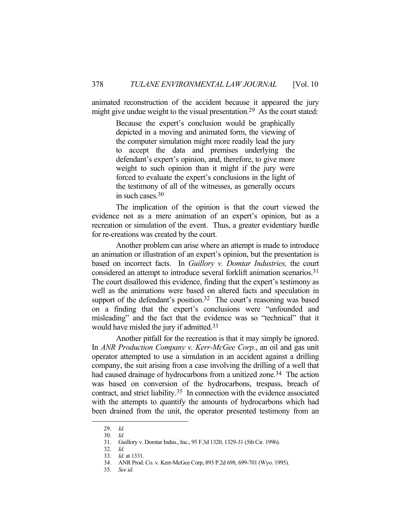animated reconstruction of the accident because it appeared the jury might give undue weight to the visual presentation.<sup>29</sup> As the court stated:

> Because the expert's conclusion would be graphically depicted in a moving and animated form, the viewing of the computer simulation might more readily lead the jury to accept the data and premises underlying the defendant's expert's opinion, and, therefore, to give more weight to such opinion than it might if the jury were forced to evaluate the expert's conclusions in the light of the testimony of all of the witnesses, as generally occurs in such cases.30

 The implication of the opinion is that the court viewed the evidence not as a mere animation of an expert's opinion, but as a recreation or simulation of the event. Thus, a greater evidentiary hurdle for re-creations was created by the court.

 Another problem can arise where an attempt is made to introduce an animation or illustration of an expert's opinion, but the presentation is based on incorrect facts. In *Guillory v. Domtar Industries,* the court considered an attempt to introduce several forklift animation scenarios.31 The court disallowed this evidence, finding that the expert's testimony as well as the animations were based on altered facts and speculation in support of the defendant's position.<sup>32</sup> The court's reasoning was based on a finding that the expert's conclusions were "unfounded and misleading" and the fact that the evidence was so "technical" that it would have misled the jury if admitted.33

 Another pitfall for the recreation is that it may simply be ignored. In *ANR Production Company v. Kerr-McGee Corp.*, an oil and gas unit operator attempted to use a simulation in an accident against a drilling company, the suit arising from a case involving the drilling of a well that had caused drainage of hydrocarbons from a unitized zone.<sup>34</sup> The action was based on conversion of the hydrocarbons, trespass, breach of contract, and strict liability.35 In connection with the evidence associated with the attempts to quantify the amounts of hydrocarbons which had been drained from the unit, the operator presented testimony from an

 <sup>29.</sup> *Id.*

 <sup>30.</sup> *Id.* 

 <sup>31.</sup> Guillory v. Domtar Indus., Inc., 95 F.3d 1320, 1329-31 (5th Cir. 1996).

 <sup>32.</sup> *Id.*

 <sup>33.</sup> *Id.* at 1331.

 <sup>34.</sup> ANR Prod. Co. v. Kerr-McGee Corp, 893 P.2d 698, 699-701 (Wyo. 1995).

 <sup>35.</sup> *See id.*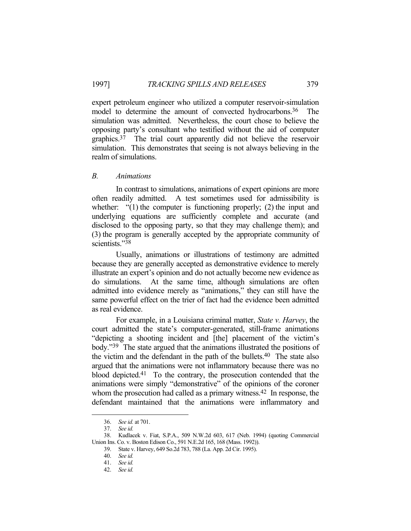expert petroleum engineer who utilized a computer reservoir-simulation model to determine the amount of convected hydrocarbons.<sup>36</sup> simulation was admitted. Nevertheless, the court chose to believe the opposing party's consultant who testified without the aid of computer graphics.37 The trial court apparently did not believe the reservoir simulation. This demonstrates that seeing is not always believing in the realm of simulations.

#### *B. Animations*

 In contrast to simulations, animations of expert opinions are more often readily admitted. A test sometimes used for admissibility is whether: "(1) the computer is functioning properly; (2) the input and underlying equations are sufficiently complete and accurate (and disclosed to the opposing party, so that they may challenge them); and (3) the program is generally accepted by the appropriate community of scientists."38

 Usually, animations or illustrations of testimony are admitted because they are generally accepted as demonstrative evidence to merely illustrate an expert's opinion and do not actually become new evidence as do simulations. At the same time, although simulations are often admitted into evidence merely as "animations," they can still have the same powerful effect on the trier of fact had the evidence been admitted as real evidence.

 For example, in a Louisiana criminal matter, *State v. Harvey*, the court admitted the state's computer-generated, still-frame animations "depicting a shooting incident and [the] placement of the victim's body."39 The state argued that the animations illustrated the positions of the victim and the defendant in the path of the bullets.40 The state also argued that the animations were not inflammatory because there was no blood depicted.41 To the contrary, the prosecution contended that the animations were simply "demonstrative" of the opinions of the coroner whom the prosecution had called as a primary witness.<sup>42</sup> In response, the defendant maintained that the animations were inflammatory and

 <sup>36.</sup> *See id.* at 701.

 <sup>37.</sup> *See id.*

 <sup>38.</sup> Kudlacek v. Fiat, S.P.A., 509 N.W.2d 603, 617 (Neb. 1994) (quoting Commercial Union Ins. Co. v. Boston Edison Co., 591 N.E.2d 165, 168 (Mass. 1992)).

 <sup>39.</sup> State v. Harvey, 649 So.2d 783, 788 (La. App. 2d Cir. 1995).

 <sup>40.</sup> *See id.* 

 <sup>41.</sup> *See id.* 

 <sup>42.</sup> *See id.*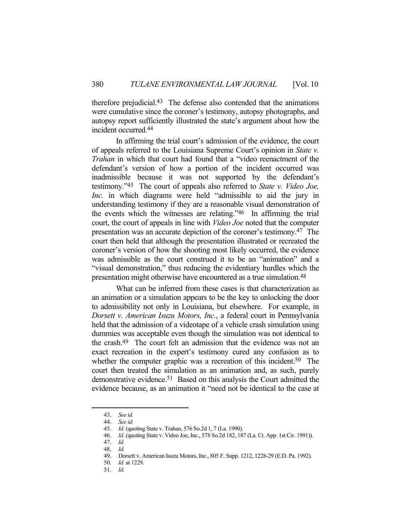therefore prejudicial.43 The defense also contended that the animations were cumulative since the coroner's testimony, autopsy photographs, and autopsy report sufficiently illustrated the state's argument about how the incident occurred.44

 In affirming the trial court's admission of the evidence, the court of appeals referred to the Louisiana Supreme Court's opinion in *State v. Trahan* in which that court had found that a "video reenactment of the defendant's version of how a portion of the incident occurred was inadmissible because it was not supported by the defendant's testimony."45 The court of appeals also referred to *State v. Video Joe, Inc.* in which diagrams were held "admissible to aid the jury in understanding testimony if they are a reasonable visual demonstration of the events which the witnesses are relating."46 In affirming the trial court, the court of appeals in line with *Video Joe* noted that the computer presentation was an accurate depiction of the coroner's testimony.47 The court then held that although the presentation illustrated or recreated the coroner's version of how the shooting most likely occurred, the evidence was admissible as the court construed it to be an "animation" and a "visual demonstration," thus reducing the evidentiary hurdles which the presentation might otherwise have encountered as a true simulation.48

 What can be inferred from these cases is that characterization as an animation or a simulation appears to be the key to unlocking the door to admissibility not only in Louisiana, but elsewhere. For example, in *Dorsett v. American Isuzu Motors, Inc.*, a federal court in Pennsylvania held that the admission of a videotape of a vehicle crash simulation using dummies was acceptable even though the simulation was not identical to the crash.49 The court felt an admission that the evidence was not an exact recreation in the expert's testimony cured any confusion as to whether the computer graphic was a recreation of this incident.<sup>50</sup> The court then treated the simulation as an animation and, as such, purely demonstrative evidence.51 Based on this analysis the Court admitted the evidence because, as an animation it "need not be identical to the case at

 <sup>43.</sup> *See id.* 

 <sup>44.</sup> *See id.* 

 <sup>45.</sup> *Id.* (quoting State v. Trahan, 576 So.2d 1, 7 (La. 1990).

 <sup>46.</sup> *Id.* (quoting State v. Video Joe, Inc., 578 So.2d 182, 187 (La. Ct. App. 1st Cir. 1991)).

 <sup>47.</sup> *Id.* 

 <sup>48.</sup> *Id.*

 <sup>49.</sup> Dorsett v. American Isuzu Motors, Inc., 805 F. Supp. 1212, 1228-29 (E.D. Pa. 1992).

 <sup>50.</sup> *Id.* at 1229.

 <sup>51.</sup> *Id.*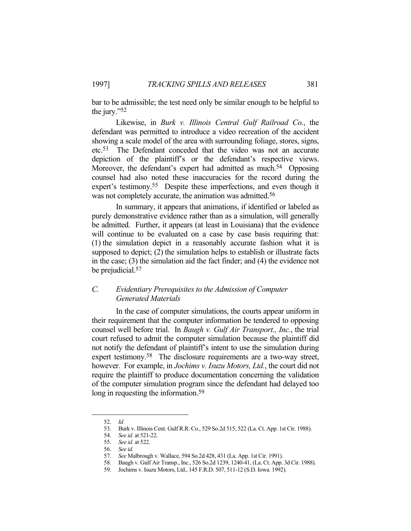bar to be admissible; the test need only be similar enough to be helpful to the jury."52

 Likewise, in *Burk v. Illinois Central Gulf Railroad Co.*, the defendant was permitted to introduce a video recreation of the accident showing a scale model of the area with surrounding foliage, stores, signs, etc.53 The Defendant conceded that the video was not an accurate depiction of the plaintiff's or the defendant's respective views. Moreover, the defendant's expert had admitted as much.<sup>54</sup> Opposing counsel had also noted these inaccuracies for the record during the expert's testimony.<sup>55</sup> Despite these imperfections, and even though it was not completely accurate, the animation was admitted.56

 In summary, it appears that animations, if identified or labeled as purely demonstrative evidence rather than as a simulation, will generally be admitted. Further, it appears (at least in Louisiana) that the evidence will continue to be evaluated on a case by case basis requiring that: (1) the simulation depict in a reasonably accurate fashion what it is supposed to depict; (2) the simulation helps to establish or illustrate facts in the case; (3) the simulation aid the fact finder; and (4) the evidence not be prejudicial.<sup>57</sup>

# *C. Evidentiary Prerequisites to the Admission of Computer Generated Materials*

 In the case of computer simulations, the courts appear uniform in their requirement that the computer information be tendered to opposing counsel well before trial. In *Baugh v. Gulf Air Transport., Inc.*, the trial court refused to admit the computer simulation because the plaintiff did not notify the defendant of plaintiff's intent to use the simulation during expert testimony.<sup>58</sup> The disclosure requirements are a two-way street, however. For example, in *Jochims v. Isuzu Motors, Ltd.*, the court did not require the plaintiff to produce documentation concerning the validation of the computer simulation program since the defendant had delayed too long in requesting the information.<sup>59</sup>

 <sup>52.</sup> *Id.* 

 <sup>53.</sup> Burk v. Illinois Cent. Gulf R.R. Co., 529 So.2d 515, 522 (La. Ct. App. 1st Cir. 1988).

 <sup>54.</sup> *See id.* at 521-22.

 <sup>55.</sup> *See id.* at 522.

 <sup>56.</sup> *See id.*

 <sup>57.</sup> *See* Malbrough v. Wallace, 594 So.2d 428, 431 (La. App. 1st Cir. 1991).

 <sup>58.</sup> Baugh v. Gulf Air Transp., Inc., 526 So.2d 1239, 1240-41, (La. Ct. App. 3d Cir. 1988).

 <sup>59.</sup> Jochims v. Isuzu Motors, Ltd., 145 F.R.D. 507, 511-12 (S.D. Iowa. 1992).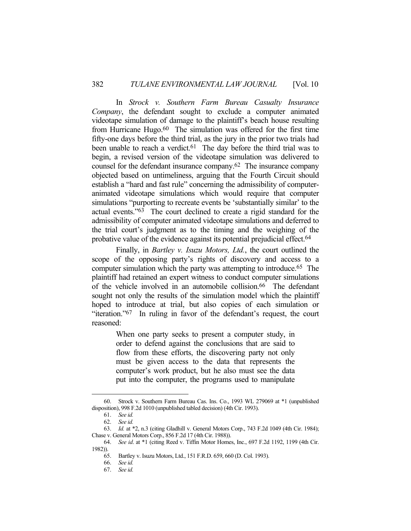In *Strock v. Southern Farm Bureau Casualty Insurance Company*, the defendant sought to exclude a computer animated videotape simulation of damage to the plaintiff's beach house resulting from Hurricane Hugo.60 The simulation was offered for the first time fifty-one days before the third trial, as the jury in the prior two trials had been unable to reach a verdict.<sup>61</sup> The day before the third trial was to begin, a revised version of the videotape simulation was delivered to counsel for the defendant insurance company.62 The insurance company objected based on untimeliness, arguing that the Fourth Circuit should establish a "hard and fast rule" concerning the admissibility of computeranimated videotape simulations which would require that computer simulations "purporting to recreate events be 'substantially similar' to the actual events."63 The court declined to create a rigid standard for the admissibility of computer animated videotape simulations and deferred to the trial court's judgment as to the timing and the weighing of the probative value of the evidence against its potential prejudicial effect.64

 Finally, in *Bartley v. Isuzu Motors, Ltd.*, the court outlined the scope of the opposing party's rights of discovery and access to a computer simulation which the party was attempting to introduce. 65 The plaintiff had retained an expert witness to conduct computer simulations of the vehicle involved in an automobile collision.<sup>66</sup> The defendant sought not only the results of the simulation model which the plaintiff hoped to introduce at trial, but also copies of each simulation or "iteration."67 In ruling in favor of the defendant's request, the court reasoned:

> When one party seeks to present a computer study, in order to defend against the conclusions that are said to flow from these efforts, the discovering party not only must be given access to the data that represents the computer's work product, but he also must see the data put into the computer, the programs used to manipulate

 <sup>60.</sup> Strock v. Southern Farm Bureau Cas. Ins. Co., 1993 WL 279069 at \*1 (unpublished disposition), 998 F.2d 1010 (unpublished tabled decision) (4th Cir. 1993).

 <sup>61.</sup> *See id.*

 <sup>62.</sup> *See id.*

 <sup>63.</sup> *Id.* at \*2, n.3 (citing Gladhill v. General Motors Corp., 743 F.2d 1049 (4th Cir. 1984); Chase v. General Motors Corp., 856 F.2d 17 (4th Cir. 1988)).

 <sup>64.</sup> *See id*. at \*1 (citing Reed v. Tiffin Motor Homes, Inc., 697 F.2d 1192, 1199 (4th Cir. 1982)).

 <sup>65.</sup> Bartley v. Isuzu Motors, Ltd., 151 F.R.D. 659, 660 (D. Col. 1993).

 <sup>66.</sup> *See id.*

 <sup>67.</sup> *See id.*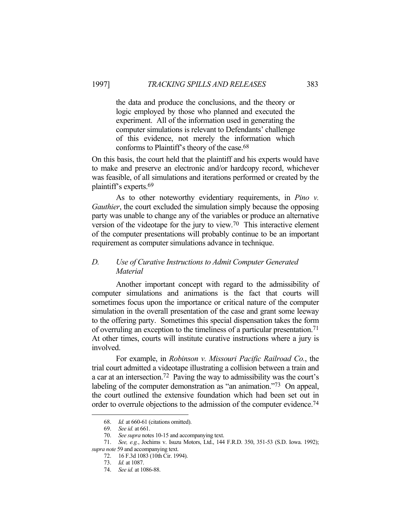the data and produce the conclusions, and the theory or logic employed by those who planned and executed the experiment. All of the information used in generating the computer simulations is relevant to Defendants' challenge of this evidence, not merely the information which conforms to Plaintiff's theory of the case.68

On this basis, the court held that the plaintiff and his experts would have to make and preserve an electronic and/or hardcopy record, whichever was feasible, of all simulations and iterations performed or created by the plaintiff's experts.69

 As to other noteworthy evidentiary requirements, in *Pino v. Gauthier*, the court excluded the simulation simply because the opposing party was unable to change any of the variables or produce an alternative version of the videotape for the jury to view.70 This interactive element of the computer presentations will probably continue to be an important requirement as computer simulations advance in technique.

# *D. Use of Curative Instructions to Admit Computer Generated Material*

 Another important concept with regard to the admissibility of computer simulations and animations is the fact that courts will sometimes focus upon the importance or critical nature of the computer simulation in the overall presentation of the case and grant some leeway to the offering party. Sometimes this special dispensation takes the form of overruling an exception to the timeliness of a particular presentation.71 At other times, courts will institute curative instructions where a jury is involved.

 For example, in *Robinson v. Missouri Pacific Railroad Co.*, the trial court admitted a videotape illustrating a collision between a train and a car at an intersection.72 Paving the way to admissibility was the court's labeling of the computer demonstration as "an animation."<sup>73</sup> On appeal, the court outlined the extensive foundation which had been set out in order to overrule objections to the admission of the computer evidence.<sup>74</sup>

 <sup>68.</sup> *Id.* at 660-61 (citations omitted).

 <sup>69.</sup> *See id.* at 661.

 <sup>70.</sup> *See supra* notes 10-15 and accompanying text.

 <sup>71.</sup> *See, e.g.*, Jochims v. Isuzu Motors, Ltd., 144 F.R.D. 350, 351-53 (S.D. Iowa. 1992); *supra note* 59 and accompanying text.

 <sup>72. 16</sup> F.3d 1083 (10th Cir. 1994).

 <sup>73.</sup> *Id.* at 1087.

 <sup>74.</sup> *See id.* at 1086-88.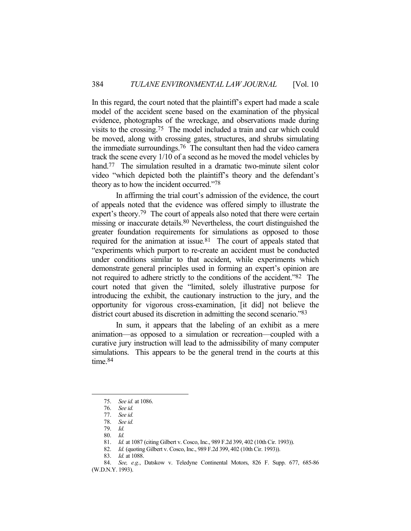In this regard, the court noted that the plaintiff's expert had made a scale model of the accident scene based on the examination of the physical evidence, photographs of the wreckage, and observations made during visits to the crossing.75 The model included a train and car which could be moved, along with crossing gates, structures, and shrubs simulating the immediate surroundings.76 The consultant then had the video camera track the scene every 1/10 of a second as he moved the model vehicles by hand.<sup>77</sup> The simulation resulted in a dramatic two-minute silent color video "which depicted both the plaintiff's theory and the defendant's theory as to how the incident occurred."78

 In affirming the trial court's admission of the evidence, the court of appeals noted that the evidence was offered simply to illustrate the expert's theory.<sup>79</sup> The court of appeals also noted that there were certain missing or inaccurate details.80 Nevertheless, the court distinguished the greater foundation requirements for simulations as opposed to those required for the animation at issue*.* 81 The court of appeals stated that "experiments which purport to re-create an accident must be conducted under conditions similar to that accident, while experiments which demonstrate general principles used in forming an expert's opinion are not required to adhere strictly to the conditions of the accident."82 The court noted that given the "limited, solely illustrative purpose for introducing the exhibit, the cautionary instruction to the jury, and the opportunity for vigorous cross-examination, [it did] not believe the district court abused its discretion in admitting the second scenario."83

 In sum, it appears that the labeling of an exhibit as a mere animation—as opposed to a simulation or recreation—coupled with a curative jury instruction will lead to the admissibility of many computer simulations. This appears to be the general trend in the courts at this time.<sup>84</sup>

 <sup>75.</sup> *See id.* at 1086.

 <sup>76.</sup> *See id.*

 <sup>77.</sup> *See id.*

 <sup>78.</sup> *See id.*

 <sup>79.</sup> *Id.* 

 <sup>80.</sup> *Id.*

 <sup>81.</sup> *Id.* at 1087 (citing Gilbert v. Cosco, Inc., 989 F.2d 399, 402 (10th Cir. 1993)).

 <sup>82.</sup> *Id.* (quoting Gilbert v. Cosco, Inc., 989 F.2d 399, 402 (10th Cir. 1993)).

 <sup>83.</sup> *Id.* at 1088.

 <sup>84.</sup> *See, e.g.*, Datskow v. Teledyne Continental Motors, 826 F. Supp. 677, 685-86 (W.D.N.Y. 1993).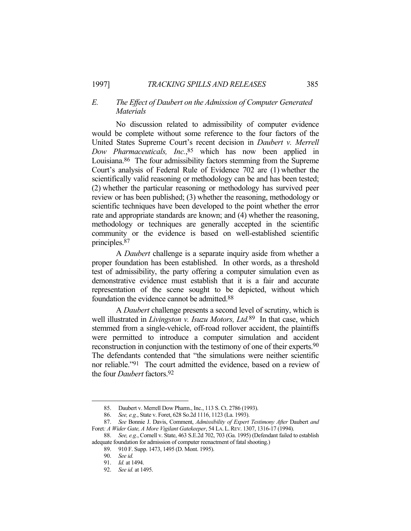# *E. The Effect of Daubert on the Admission of Computer Generated Materials*

 No discussion related to admissibility of computer evidence would be complete without some reference to the four factors of the United States Supreme Court's recent decision in *Daubert v. Merrell Dow Pharmaceuticals, Inc.*, 85 which has now been applied in Louisiana.<sup>86</sup> The four admissibility factors stemming from the Supreme Court's analysis of Federal Rule of Evidence 702 are (1) whether the scientifically valid reasoning or methodology can be and has been tested; (2) whether the particular reasoning or methodology has survived peer review or has been published; (3) whether the reasoning, methodology or scientific techniques have been developed to the point whether the error rate and appropriate standards are known; and (4) whether the reasoning, methodology or techniques are generally accepted in the scientific community or the evidence is based on well-established scientific principles.87

 A *Daubert* challenge is a separate inquiry aside from whether a proper foundation has been established. In other words, as a threshold test of admissibility, the party offering a computer simulation even as demonstrative evidence must establish that it is a fair and accurate representation of the scene sought to be depicted, without which foundation the evidence cannot be admitted.88

 A *Daubert* challenge presents a second level of scrutiny, which is well illustrated in *Livingston v. Isuzu Motors, Ltd.*89 In that case, which stemmed from a single-vehicle, off-road rollover accident, the plaintiffs were permitted to introduce a computer simulation and accident reconstruction in conjunction with the testimony of one of their experts.<sup>90</sup> The defendants contended that "the simulations were neither scientific nor reliable."91 The court admitted the evidence, based on a review of the four *Daubert* factors.92

 <sup>85.</sup> Daubert v. Merrell Dow Pharm., Inc., 113 S. Ct. 2786 (1993).

 <sup>86.</sup> *See, e.g.*, State v. Foret, 628 So.2d 1116, 1123 (La. 1993).

 <sup>87.</sup> *See* Bonnie J. Davis, Comment, *Admissibility of Expert Testimony After* Daubert *and* Foret*: A Wider Gate, A More Vigilant Gatekeeper*, 54 LA.L.REV. 1307, 1316-17 (1994).

 <sup>88.</sup> *See, e.g.*, Cornell v. State, 463 S.E.2d 702, 703 (Ga. 1995) (Defendant failed to establish adequate foundation for admission of computer reenactment of fatal shooting.)

 <sup>89. 910</sup> F. Supp. 1473, 1495 (D. Mont. 1995).

 <sup>90.</sup> *See id.* 

 <sup>91.</sup> *Id.* at 1494.

 <sup>92.</sup> *See id.* at 1495.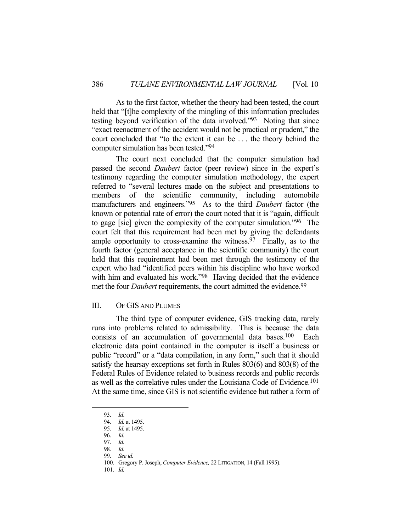As to the first factor, whether the theory had been tested, the court held that "[t]he complexity of the mingling of this information precludes testing beyond verification of the data involved."93 Noting that since "exact reenactment of the accident would not be practical or prudent," the court concluded that "to the extent it can be . . . the theory behind the computer simulation has been tested."94

 The court next concluded that the computer simulation had passed the second *Daubert* factor (peer review) since in the expert's testimony regarding the computer simulation methodology, the expert referred to "several lectures made on the subject and presentations to members of the scientific community, including automobile manufacturers and engineers."95 As to the third *Daubert* factor (the known or potential rate of error) the court noted that it is "again, difficult to gage [sic] given the complexity of the computer simulation."96 The court felt that this requirement had been met by giving the defendants ample opportunity to cross-examine the witness.  $97$  Finally, as to the fourth factor (general acceptance in the scientific community) the court held that this requirement had been met through the testimony of the expert who had "identified peers within his discipline who have worked with him and evaluated his work."<sup>98</sup> Having decided that the evidence met the four *Daubert* requirements, the court admitted the evidence.99

#### III. OF GIS AND PLUMES

 The third type of computer evidence, GIS tracking data, rarely runs into problems related to admissibility. This is because the data consists of an accumulation of governmental data bases.100 Each electronic data point contained in the computer is itself a business or public "record" or a "data compilation, in any form," such that it should satisfy the hearsay exceptions set forth in Rules 803(6) and 803(8) of the Federal Rules of Evidence related to business records and public records as well as the correlative rules under the Louisiana Code of Evidence.101 At the same time, since GIS is not scientific evidence but rather a form of

1

101. *Id.* 

 <sup>93.</sup> *Id*.

 <sup>94.</sup> *Id.* at 1495.

 <sup>95.</sup> *Id.* at 1495.

 <sup>96.</sup> *Id.*

 <sup>97.</sup> *Id.* 

 <sup>98.</sup> *Id.*

 <sup>99.</sup> *See id.* 

 <sup>100.</sup> Gregory P. Joseph, *Computer Evidence,* 22 LITIGATION, 14 (Fall 1995).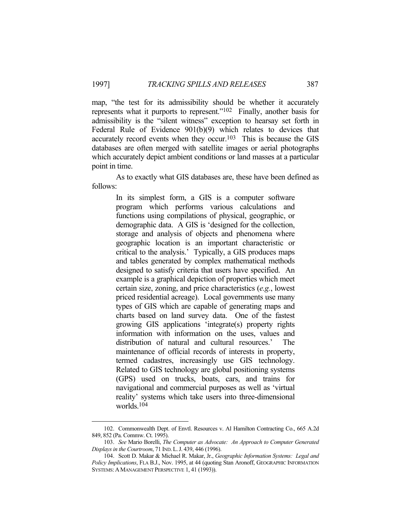map, "the test for its admissibility should be whether it accurately represents what it purports to represent."102 Finally, another basis for admissibility is the "silent witness" exception to hearsay set forth in Federal Rule of Evidence 901(b)(9) which relates to devices that accurately record events when they occur.<sup>103</sup> This is because the GIS databases are often merged with satellite images or aerial photographs which accurately depict ambient conditions or land masses at a particular point in time.

 As to exactly what GIS databases are, these have been defined as follows:

> In its simplest form, a GIS is a computer software program which performs various calculations and functions using compilations of physical, geographic, or demographic data. A GIS is 'designed for the collection, storage and analysis of objects and phenomena where geographic location is an important characteristic or critical to the analysis.' Typically, a GIS produces maps and tables generated by complex mathematical methods designed to satisfy criteria that users have specified. An example is a graphical depiction of properties which meet certain size, zoning, and price characteristics (*e.g.*, lowest priced residential acreage). Local governments use many types of GIS which are capable of generating maps and charts based on land survey data. One of the fastest growing GIS applications 'integrate(s) property rights information with information on the uses, values and distribution of natural and cultural resources.' The maintenance of official records of interests in property, termed cadastres, increasingly use GIS technology. Related to GIS technology are global positioning systems (GPS) used on trucks, boats, cars, and trains for navigational and commercial purposes as well as 'virtual reality' systems which take users into three-dimensional worlds.104

 <sup>102.</sup> Commonwealth Dept. of Envtl. Resources v. Al Hamilton Contracting Co., 665 A.2d 849, 852 (Pa. Commw. Ct. 1995).

 <sup>103.</sup> *See* Mario Borelli, *The Computer as Advocate: An Approach to Computer Generated Displays in the Courtroom*, 71 IND.L.J. 439, 446 (1996).

 <sup>104.</sup> Scott D. Makar & Michael R. Makar, Jr., *Geographic Information Systems: Legal and Policy Implications*, FLA B.J., Nov. 1995, at 44 (quoting Stan Aronoff, GEOGRAPHIC INFORMATION SYSTEMS:AMANAGEMENT PERSPECTIVE 1, 41 (1993)).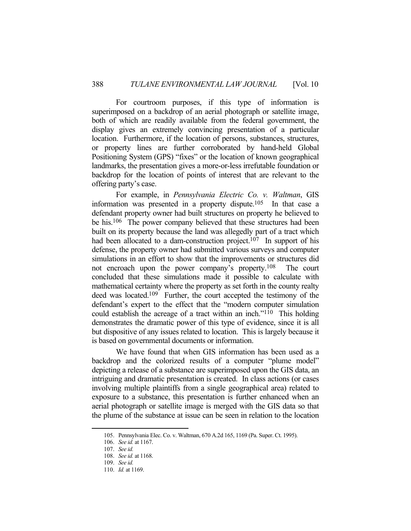For courtroom purposes, if this type of information is superimposed on a backdrop of an aerial photograph or satellite image, both of which are readily available from the federal government, the display gives an extremely convincing presentation of a particular location. Furthermore, if the location of persons, substances, structures, or property lines are further corroborated by hand-held Global Positioning System (GPS) "fixes" or the location of known geographical landmarks, the presentation gives a more-or-less irrefutable foundation or backdrop for the location of points of interest that are relevant to the offering party's case.

 For example, in *Pennsylvania Electric Co. v. Waltman*, GIS information was presented in a property dispute.<sup>105</sup> In that case a defendant property owner had built structures on property he believed to be his.<sup>106</sup> The power company believed that these structures had been built on its property because the land was allegedly part of a tract which had been allocated to a dam-construction project.<sup>107</sup> In support of his defense, the property owner had submitted various surveys and computer simulations in an effort to show that the improvements or structures did not encroach upon the power company's property.<sup>108</sup> The court concluded that these simulations made it possible to calculate with mathematical certainty where the property as set forth in the county realty deed was located.109 Further, the court accepted the testimony of the defendant's expert to the effect that the "modern computer simulation could establish the acreage of a tract within an inch."110 This holding demonstrates the dramatic power of this type of evidence, since it is all but dispositive of any issues related to location. This is largely because it is based on governmental documents or information.

 We have found that when GIS information has been used as a backdrop and the colorized results of a computer "plume model" depicting a release of a substance are superimposed upon the GIS data, an intriguing and dramatic presentation is created. In class actions (or cases involving multiple plaintiffs from a single geographical area) related to exposure to a substance, this presentation is further enhanced when an aerial photograph or satellite image is merged with the GIS data so that the plume of the substance at issue can be seen in relation to the location

 <sup>105.</sup> Pennsylvania Elec. Co. v. Waltman, 670 A.2d 165, 1169 (Pa. Super. Ct. 1995).

 <sup>106.</sup> *See id.* at 1167.

 <sup>107.</sup> *See id.* 

 <sup>108.</sup> *See id.* at 1168.

 <sup>109.</sup> *See id.*

 <sup>110.</sup> *Id.* at 1169.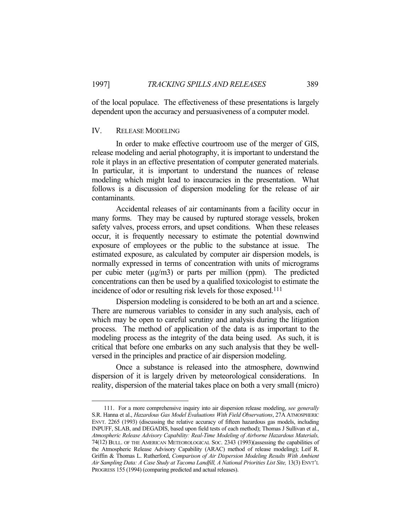of the local populace. The effectiveness of these presentations is largely dependent upon the accuracy and persuasiveness of a computer model.

## IV. RELEASE MODELING

1

 In order to make effective courtroom use of the merger of GIS, release modeling and aerial photography, it is important to understand the role it plays in an effective presentation of computer generated materials. In particular, it is important to understand the nuances of release modeling which might lead to inaccuracies in the presentation. What follows is a discussion of dispersion modeling for the release of air contaminants.

 Accidental releases of air contaminants from a facility occur in many forms. They may be caused by ruptured storage vessels, broken safety valves, process errors, and upset conditions. When these releases occur, it is frequently necessary to estimate the potential downwind exposure of employees or the public to the substance at issue. The estimated exposure, as calculated by computer air dispersion models, is normally expressed in terms of concentration with units of micrograms per cubic meter (µg/m3) or parts per million (ppm). The predicted concentrations can then be used by a qualified toxicologist to estimate the incidence of odor or resulting risk levels for those exposed.111

 Dispersion modeling is considered to be both an art and a science. There are numerous variables to consider in any such analysis, each of which may be open to careful scrutiny and analysis during the litigation process. The method of application of the data is as important to the modeling process as the integrity of the data being used. As such, it is critical that before one embarks on any such analysis that they be wellversed in the principles and practice of air dispersion modeling.

 Once a substance is released into the atmosphere, downwind dispersion of it is largely driven by meteorological considerations. In reality, dispersion of the material takes place on both a very small (micro)

 <sup>111.</sup> For a more comprehensive inquiry into air dispersion release modeling, *see generally* S.R. Hanna et al., *Hazardous Gas Model Evaluations With Field Observations*, 27A ATMOSPHERIC ENVT. 2265 (1993) (discussing the relative accuracy of fifteen hazardous gas models, including INPUFF, SLAB, and DEGADIS, based upon field tests of each method); Thomas J Sullivan et al., *Atmospheric Release Advisory Capability: Real-Time Modeling of Airborne Hazardous Materials,* 74(12) BULL. OF THE AMERICAN METEOROLOGICAL SOC. 2343 (1993)(assessing the capabilities of the Atmospheric Release Advisory Capability (ARAC) method of release modeling); Leif R. Griffin & Thomas L. Rutherford, *Comparison of Air Dispersion Modeling Results With Ambient Air Sampling Data: A Case Study at Tacoma Landfill, A National Priorities List Site,* 13(3) ENVT'L PROGRESS 155 (1994) (comparing predicted and actual releases).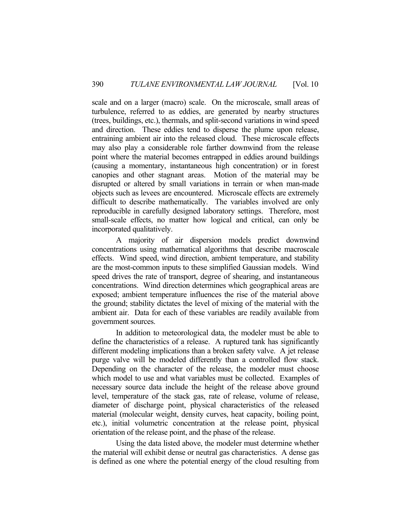scale and on a larger (macro) scale. On the microscale, small areas of turbulence, referred to as eddies, are generated by nearby structures (trees, buildings, etc.), thermals, and split-second variations in wind speed and direction. These eddies tend to disperse the plume upon release, entraining ambient air into the released cloud. These microscale effects may also play a considerable role farther downwind from the release point where the material becomes entrapped in eddies around buildings (causing a momentary, instantaneous high concentration) or in forest canopies and other stagnant areas. Motion of the material may be disrupted or altered by small variations in terrain or when man-made objects such as levees are encountered. Microscale effects are extremely difficult to describe mathematically. The variables involved are only reproducible in carefully designed laboratory settings. Therefore, most small-scale effects, no matter how logical and critical, can only be incorporated qualitatively.

 A majority of air dispersion models predict downwind concentrations using mathematical algorithms that describe macroscale effects. Wind speed, wind direction, ambient temperature, and stability are the most-common inputs to these simplified Gaussian models. Wind speed drives the rate of transport, degree of shearing, and instantaneous concentrations. Wind direction determines which geographical areas are exposed; ambient temperature influences the rise of the material above the ground; stability dictates the level of mixing of the material with the ambient air. Data for each of these variables are readily available from government sources.

 In addition to meteorological data, the modeler must be able to define the characteristics of a release. A ruptured tank has significantly different modeling implications than a broken safety valve. A jet release purge valve will be modeled differently than a controlled flow stack. Depending on the character of the release, the modeler must choose which model to use and what variables must be collected. Examples of necessary source data include the height of the release above ground level, temperature of the stack gas, rate of release, volume of release, diameter of discharge point, physical characteristics of the released material (molecular weight, density curves, heat capacity, boiling point, etc.), initial volumetric concentration at the release point, physical orientation of the release point, and the phase of the release.

 Using the data listed above, the modeler must determine whether the material will exhibit dense or neutral gas characteristics. A dense gas is defined as one where the potential energy of the cloud resulting from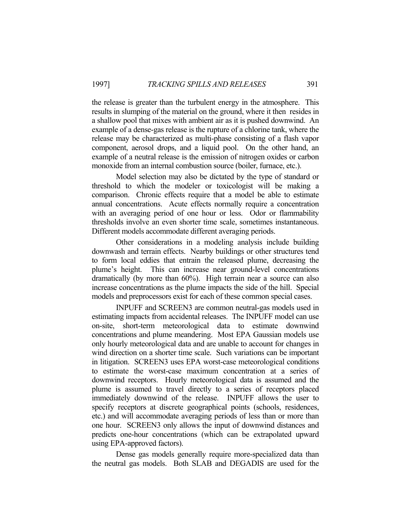the release is greater than the turbulent energy in the atmosphere. This results in slumping of the material on the ground, where it then resides in a shallow pool that mixes with ambient air as it is pushed downwind. An example of a dense-gas release is the rupture of a chlorine tank, where the release may be characterized as multi-phase consisting of a flash vapor component, aerosol drops, and a liquid pool. On the other hand, an example of a neutral release is the emission of nitrogen oxides or carbon monoxide from an internal combustion source (boiler, furnace, etc.).

 Model selection may also be dictated by the type of standard or threshold to which the modeler or toxicologist will be making a comparison. Chronic effects require that a model be able to estimate annual concentrations. Acute effects normally require a concentration with an averaging period of one hour or less. Odor or flammability thresholds involve an even shorter time scale, sometimes instantaneous. Different models accommodate different averaging periods.

 Other considerations in a modeling analysis include building downwash and terrain effects. Nearby buildings or other structures tend to form local eddies that entrain the released plume, decreasing the plume's height. This can increase near ground-level concentrations dramatically (by more than 60%). High terrain near a source can also increase concentrations as the plume impacts the side of the hill. Special models and preprocessors exist for each of these common special cases.

 INPUFF and SCREEN3 are common neutral-gas models used in estimating impacts from accidental releases. The INPUFF model can use on-site, short-term meteorological data to estimate downwind concentrations and plume meandering. Most EPA Gaussian models use only hourly meteorological data and are unable to account for changes in wind direction on a shorter time scale. Such variations can be important in litigation. SCREEN3 uses EPA worst-case meteorological conditions to estimate the worst-case maximum concentration at a series of downwind receptors. Hourly meteorological data is assumed and the plume is assumed to travel directly to a series of receptors placed immediately downwind of the release. INPUFF allows the user to specify receptors at discrete geographical points (schools, residences, etc.) and will accommodate averaging periods of less than or more than one hour. SCREEN3 only allows the input of downwind distances and predicts one-hour concentrations (which can be extrapolated upward using EPA-approved factors).

 Dense gas models generally require more-specialized data than the neutral gas models. Both SLAB and DEGADIS are used for the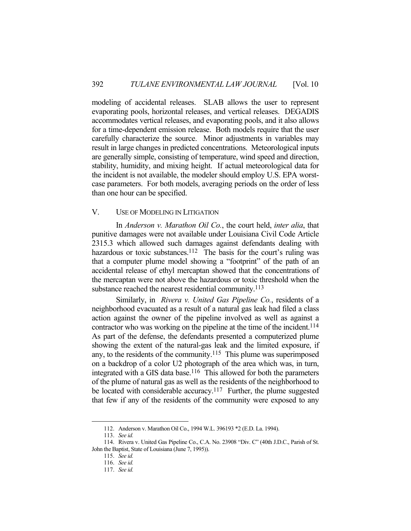modeling of accidental releases. SLAB allows the user to represent evaporating pools, horizontal releases, and vertical releases. DEGADIS accommodates vertical releases, and evaporating pools, and it also allows for a time-dependent emission release. Both models require that the user carefully characterize the source. Minor adjustments in variables may result in large changes in predicted concentrations. Meteorological inputs are generally simple, consisting of temperature, wind speed and direction, stability, humidity, and mixing height. If actual meteorological data for the incident is not available, the modeler should employ U.S. EPA worstcase parameters. For both models, averaging periods on the order of less than one hour can be specified.

## V. USE OF MODELING IN LITIGATION

 In *Anderson v. Marathon Oil Co.*, the court held, *inter alia*, that punitive damages were not available under Louisiana Civil Code Article 2315.3 which allowed such damages against defendants dealing with hazardous or toxic substances.<sup>112</sup> The basis for the court's ruling was that a computer plume model showing a "footprint" of the path of an accidental release of ethyl mercaptan showed that the concentrations of the mercaptan were not above the hazardous or toxic threshold when the substance reached the nearest residential community.<sup>113</sup>

 Similarly, in *Rivera v. United Gas Pipeline Co.*, residents of a neighborhood evacuated as a result of a natural gas leak had filed a class action against the owner of the pipeline involved as well as against a contractor who was working on the pipeline at the time of the incident.<sup>114</sup> As part of the defense, the defendants presented a computerized plume showing the extent of the natural-gas leak and the limited exposure, if any, to the residents of the community.115 This plume was superimposed on a backdrop of a color U2 photograph of the area which was, in turn, integrated with a GIS data base.116 This allowed for both the parameters of the plume of natural gas as well as the residents of the neighborhood to be located with considerable accuracy.<sup>117</sup> Further, the plume suggested that few if any of the residents of the community were exposed to any

 <sup>112.</sup> Anderson v. Marathon Oil Co., 1994 W.L. 396193 \*2 (E.D. La. 1994).

 <sup>113.</sup> *See id.*

 <sup>114.</sup> Rivera v. United Gas Pipeline Co., C.A. No. 23908 "Div. C" (40th J.D.C., Parish of St. John the Baptist, State of Louisiana (June 7, 1995)).

 <sup>115.</sup> *See id.* 

 <sup>116.</sup> *See id.*

 <sup>117.</sup> *See id.*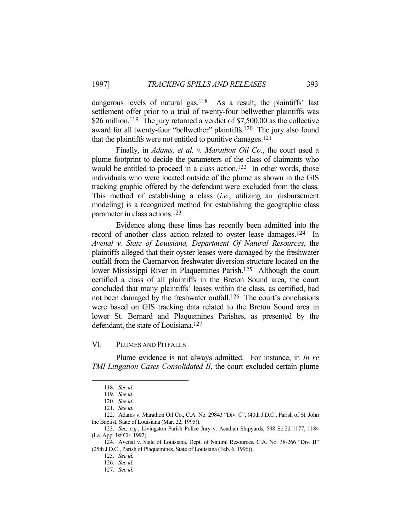dangerous levels of natural gas.<sup>118</sup> As a result, the plaintiffs' last settlement offer prior to a trial of twenty-four bellwether plaintiffs was \$26 million.<sup>119</sup> The jury returned a verdict of \$7,500.00 as the collective award for all twenty-four "bellwether" plaintiffs.120 The jury also found that the plaintiffs were not entitled to punitive damages.121

 Finally, in *Adams, et al. v. Marathon Oil Co.*, the court used a plume footprint to decide the parameters of the class of claimants who would be entitled to proceed in a class action.<sup>122</sup> In other words, those individuals who were located outside of the plume as shown in the GIS tracking graphic offered by the defendant were excluded from the class. This method of establishing a class (*i.e.*, utilizing air disbursement modeling) is a recognized method for establishing the geographic class parameter in class actions.123

 Evidence along these lines has recently been admitted into the record of another class action related to oyster lease damages.<sup>124</sup> In *Avenal v. State of Louisiana, Department Of Natural Resources*, the plaintiffs alleged that their oyster leases were damaged by the freshwater outfall from the Caernarvon freshwater diversion structure located on the lower Mississippi River in Plaquemines Parish.125 Although the court certified a class of all plaintiffs in the Breton Sound area, the court concluded that many plaintiffs' leases within the class, as certified, had not been damaged by the freshwater outfall.<sup>126</sup> The court's conclusions were based on GIS tracking data related to the Breton Sound area in lower St. Bernard and Plaquemines Parishes, as presented by the defendant, the state of Louisiana.<sup>127</sup>

## VI. PLUMES AND PITFALLS

 Plume evidence is not always admitted. For instance, in *In re TMI Litigation Cases Consolidated II*, the court excluded certain plume

 <sup>118.</sup> *See id.*

 <sup>119.</sup> *See id.*

 <sup>120.</sup> *See id.*

 <sup>121.</sup> *See id.*

 <sup>122.</sup> Adams v. Marathon Oil Co., C.A. No. 29843 "Div. C", (40th J.D.C., Parish of St. John the Baptist, State of Louisiana (Mar. 22, 1995)).

 <sup>123.</sup> *See, e.g.*, Livingston Parish Police Jury v. Acadian Shipyards, 598 So.2d 1177, 1184 (La. App. 1st Cir. 1992).

 <sup>124.</sup> Avenal v. State of Louisiana, Dept. of Natural Resources, C.A. No. 38-266 "Div. B" (25th J.D.C., Parish of Plaquemines, State of Louisiana (Feb. 6, 1996)).

 <sup>125.</sup> *See id.* 

 <sup>126.</sup> *See id.*

 <sup>127.</sup> *See id.*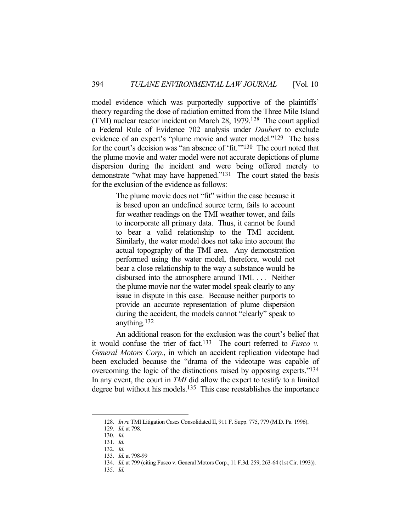model evidence which was purportedly supportive of the plaintiffs' theory regarding the dose of radiation emitted from the Three Mile Island (TMI) nuclear reactor incident on March 28, 1979.128 The court applied a Federal Rule of Evidence 702 analysis under *Daubert* to exclude evidence of an expert's "plume movie and water model."129 The basis for the court's decision was "an absence of 'fit.'"130 The court noted that the plume movie and water model were not accurate depictions of plume dispersion during the incident and were being offered merely to demonstrate "what may have happened."<sup>131</sup> The court stated the basis for the exclusion of the evidence as follows:

> The plume movie does not "fit" within the case because it is based upon an undefined source term, fails to account for weather readings on the TMI weather tower, and fails to incorporate all primary data. Thus, it cannot be found to bear a valid relationship to the TMI accident. Similarly, the water model does not take into account the actual topography of the TMI area. Any demonstration performed using the water model, therefore, would not bear a close relationship to the way a substance would be disbursed into the atmosphere around TMI. . . . Neither the plume movie nor the water model speak clearly to any issue in dispute in this case. Because neither purports to provide an accurate representation of plume dispersion during the accident, the models cannot "clearly" speak to anything.132

 An additional reason for the exclusion was the court's belief that it would confuse the trier of fact.133 The court referred to *Fusco v. General Motors Corp.*, in which an accident replication videotape had been excluded because the "drama of the videotape was capable of overcoming the logic of the distinctions raised by opposing experts."134 In any event, the court in *TMI* did allow the expert to testify to a limited degree but without his models.<sup>135</sup> This case reestablishes the importance

<u>.</u>

135. *Id.*

 <sup>128.</sup> *In re* TMI Litigation Cases Consolidated II, 911 F. Supp. 775, 779 (M.D. Pa. 1996).

 <sup>129.</sup> *Id.* at 798.

 <sup>130.</sup> *Id.*

 <sup>131.</sup> *Id.*

 <sup>132.</sup> *Id.*

 <sup>133.</sup> *Id.* at 798-99

 <sup>134.</sup> *Id.* at 799 (citing Fusco v. General Motors Corp., 11 F.3d. 259, 263-64 (1st Cir. 1993)).